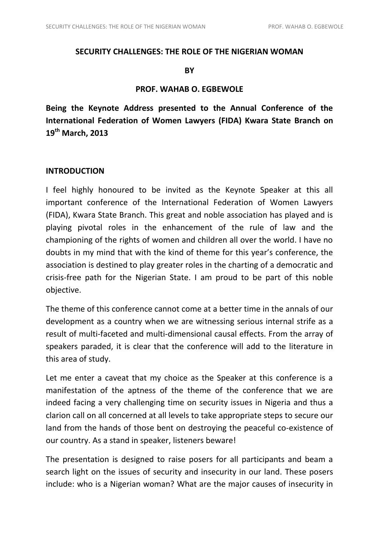## **SECURITY CHALLENGES: THE ROLE OF THE NIGERIAN WOMAN**

#### **BY**

## **PROF. WAHAB O. EGBEWOLE**

**Being the Keynote Address presented to the Annual Conference of the International Federation of Women Lawyers (FIDA) Kwara State Branch on 19th March, 2013** 

## **INTRODUCTION**

I feel highly honoured to be invited as the Keynote Speaker at this all important conference of the International Federation of Women Lawyers (FIDA), Kwara State Branch. This great and noble association has played and is playing pivotal roles in the enhancement of the rule of law and the championing of the rights of women and children all over the world. I have no doubts in my mind that with the kind of theme for this year's conference, the association is destined to play greater roles in the charting of a democratic and crisis-free path for the Nigerian State. I am proud to be part of this noble objective.

The theme of this conference cannot come at a better time in the annals of our development as a country when we are witnessing serious internal strife as a result of multi-faceted and multi-dimensional causal effects. From the array of speakers paraded, it is clear that the conference will add to the literature in this area of study.

Let me enter a caveat that my choice as the Speaker at this conference is a manifestation of the aptness of the theme of the conference that we are indeed facing a very challenging time on security issues in Nigeria and thus a clarion call on all concerned at all levels to take appropriate steps to secure our land from the hands of those bent on destroying the peaceful co-existence of our country. As a stand in speaker, listeners beware!

The presentation is designed to raise posers for all participants and beam a search light on the issues of security and insecurity in our land. These posers include: who is a Nigerian woman? What are the major causes of insecurity in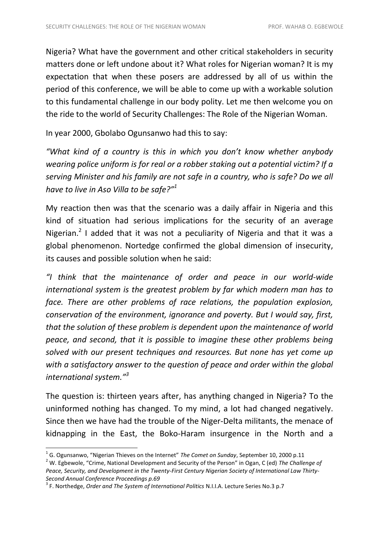Nigeria? What have the government and other critical stakeholders in security matters done or left undone about it? What roles for Nigerian woman? It is my expectation that when these posers are addressed by all of us within the period of this conference, we will be able to come up with a workable solution to this fundamental challenge in our body polity. Let me then welcome you on the ride to the world of Security Challenges: The Role of the Nigerian Woman.

In year 2000, Gbolabo Ogunsanwo had this to say:

*"What kind of a country is this in which you don't know whether anybody wearing police uniform is for real or a robber staking out a potential victim? If a serving Minister and his family are not safe in a country, who is safe? Do we all have to live in Aso Villa to be safe?"<sup>1</sup>*

My reaction then was that the scenario was a daily affair in Nigeria and this kind of situation had serious implications for the security of an average Nigerian.<sup>2</sup> I added that it was not a peculiarity of Nigeria and that it was a global phenomenon. Nortedge confirmed the global dimension of insecurity, its causes and possible solution when he said:

*"I think that the maintenance of order and peace in our world-wide international system is the greatest problem by far which modern man has to face. There are other problems of race relations, the population explosion, conservation of the environment, ignorance and poverty. But I would say, first, that the solution of these problem is dependent upon the maintenance of world peace, and second, that it is possible to imagine these other problems being solved with our present techniques and resources. But none has yet come up with a satisfactory answer to the question of peace and order within the global international system."<sup>3</sup>*

The question is: thirteen years after, has anything changed in Nigeria? To the uninformed nothing has changed. To my mind, a lot had changed negatively. Since then we have had the trouble of the Niger-Delta militants, the menace of kidnapping in the East, the Boko-Haram insurgence in the North and a

<sup>2</sup> W. Egbewole, "Crime, National Development and Security of the Person" in Ogan, C (ed) *The Challenge of Peace, Security, and Development in the Twenty-First Century Nigerian Society of International Law Thirty-Second Annual Conference Proceedings p.69*

 $\overline{a}$ 

<sup>1</sup> G. Ogunsanwo, "Nigerian Thieves on the Internet" *The Comet on Sunday*, September 10, 2000 p.11

<sup>3</sup> F. Northedge, *Order and The System of International Politics* N.I.I.A. Lecture Series No.3 p.7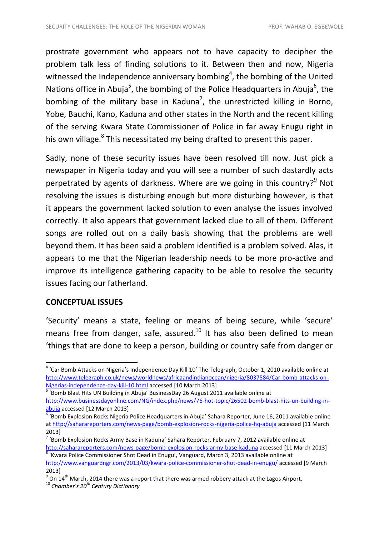prostrate government who appears not to have capacity to decipher the problem talk less of finding solutions to it. Between then and now, Nigeria witnessed the Independence anniversary bombing<sup>4</sup>, the bombing of the United Nations office in Abuja<sup>5</sup>, the bombing of the Police Headquarters in Abuja<sup>6</sup>, the bombing of the military base in Kaduna<sup>7</sup>, the unrestricted killing in Borno, Yobe, Bauchi, Kano, Kaduna and other states in the North and the recent killing of the serving Kwara State Commissioner of Police in far away Enugu right in his own village.<sup>8</sup> This necessitated my being drafted to present this paper.

Sadly, none of these security issues have been resolved till now. Just pick a newspaper in Nigeria today and you will see a number of such dastardly acts perpetrated by agents of darkness. Where are we going in this country?<sup>9</sup> Not resolving the issues is disturbing enough but more disturbing however, is that it appears the government lacked solution to even analyse the issues involved correctly. It also appears that government lacked clue to all of them. Different songs are rolled out on a daily basis showing that the problems are well beyond them. It has been said a problem identified is a problem solved. Alas, it appears to me that the Nigerian leadership needs to be more pro-active and improve its intelligence gathering capacity to be able to resolve the security issues facing our fatherland.

## **CONCEPTUAL ISSUES**

1

'Security' means a state, feeling or means of being secure, while 'secure' means free from danger, safe, assured.<sup>10</sup> It has also been defined to mean 'things that are done to keep a person, building or country safe from danger or

<sup>&</sup>lt;sup>4</sup> 'Car Bomb Attacks on Nigeria's Independence Day Kill 10' The Telegraph, October 1, 2010 available online at [http://www.telegraph.co.uk/news/worldnews/africaandindianocean/nigeria/8037584/Car-bomb-attacks-on-](http://www.telegraph.co.uk/news/worldnews/africaandindianocean/nigeria/8037584/Car-bomb-attacks-on-Nigerias-independence-day-kill-10.html)[Nigerias-independence-day-kill-10.html](http://www.telegraph.co.uk/news/worldnews/africaandindianocean/nigeria/8037584/Car-bomb-attacks-on-Nigerias-independence-day-kill-10.html) accessed [10 March 2013]

<sup>&</sup>lt;sup>5</sup> 'Bomb Blast Hits UN Building in Abuja' BusinessDay 26 August 2011 available online at

[http://www.businessdayonline.com/NG/index.php/news/76-hot-topic/26502-bomb-blast-hits-un-building-in](http://www.businessdayonline.com/NG/index.php/news/76-hot-topic/26502-bomb-blast-hits-un-building-in-abuja)[abuja](http://www.businessdayonline.com/NG/index.php/news/76-hot-topic/26502-bomb-blast-hits-un-building-in-abuja) accessed [12 March 2013]

<sup>&</sup>lt;sup>6</sup> 'Bomb Explosion Rocks Nigeria Police Headquarters in Abuja' Sahara Reporter, June 16, 2011 available online a[t http://saharareporters.com/news-page/bomb-explosion-rocks-nigeria-police-hq-abuja](http://saharareporters.com/news-page/bomb-explosion-rocks-nigeria-police-hq-abuja) accessed [11 March 2013]

<sup>&</sup>lt;sup>7</sup> 'Bomb Explosion Rocks Army Base in Kaduna' Sahara Reporter, February 7, 2012 available online at <http://saharareporters.com/news-page/bomb-explosion-rocks-army-base-kaduna> accessed [11 March 2013]

<sup>&</sup>lt;sup>8</sup> 'Kwara Police Commissioner Shot Dead in Enugu', Vanguard, March 3, 2013 available online at <http://www.vanguardngr.com/2013/03/kwara-police-commissioner-shot-dead-in-enugu/> accessed [9 March 2013]

 $^{9}$  On 14<sup>th</sup> March, 2014 there was a report that there was armed robbery attack at the Lagos Airport.

<sup>10</sup> *Chamber's 20th Century Dictionary*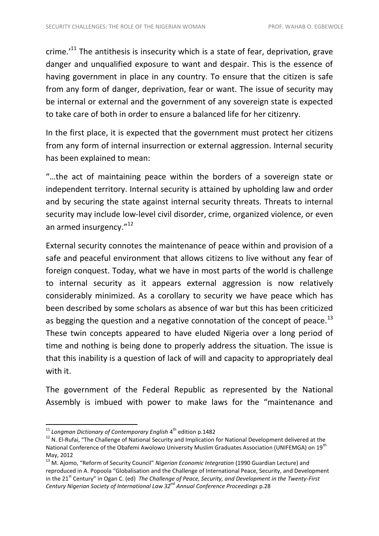crime. $'$ <sup>11</sup> The antithesis is insecurity which is a state of fear, deprivation, grave danger and unqualified exposure to want and despair. This is the essence of having government in place in any country. To ensure that the citizen is safe from any form of danger, deprivation, fear or want. The issue of security may be internal or external and the government of any sovereign state is expected to take care of both in order to ensure a balanced life for her citizenry.

In the first place, it is expected that the government must protect her citizens from any form of internal insurrection or external aggression. Internal security has been explained to mean:

"…the act of maintaining peace within the borders of a sovereign state or independent territory. Internal security is attained by upholding law and order and by securing the state against internal security threats. Threats to internal security may include low-level civil disorder, crime, organized violence, or even an armed insurgency."<sup>12</sup>

External security connotes the maintenance of peace within and provision of a safe and peaceful environment that allows citizens to live without any fear of foreign conquest. Today, what we have in most parts of the world is challenge to internal security as it appears external aggression is now relatively considerably minimized. As a corollary to security we have peace which has been described by some scholars as absence of war but this has been criticized as begging the question and a negative connotation of the concept of peace. $^{13}$ These twin concepts appeared to have eluded Nigeria over a long period of time and nothing is being done to properly address the situation. The issue is that this inability is a question of lack of will and capacity to appropriately deal with it.

The government of the Federal Republic as represented by the National Assembly is imbued with power to make laws for the "maintenance and

<sup>&</sup>lt;sup>11</sup> Longman Dictionary of Contemporary English 4<sup>th</sup> edition p.1482

<sup>&</sup>lt;sup>12</sup> N. El-Rufai, "The Challenge of National Security and Implication for National Development delivered at the National Conference of the Obafemi Awolowo University Muslim Graduates Association (UNIFEMGA) on 19<sup>th</sup> May, 2012

<sup>13</sup> M. Ajomo, "Reform of Security Council" *Nigerian Economic Integration* (1990 Guardian Lecture) and reproduced in A. Popoola "Globalisation and the Challenge of International Peace, Security, and Development in the 21<sup>st</sup> Century" in Ogan C. (ed) *The Challenge of Peace, Security, and Development in the Twenty-First Century Nigerian Society of International Law 32nd Annual Conference Proceedings* p.28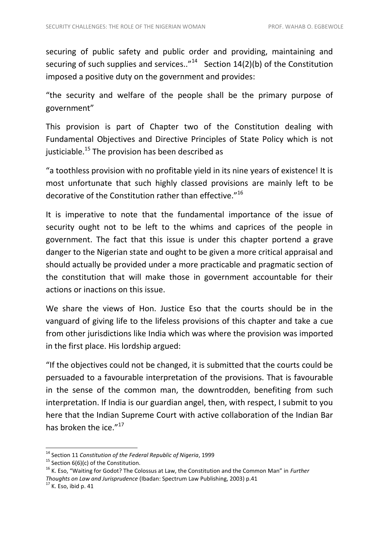securing of public safety and public order and providing, maintaining and securing of such supplies and services.."<sup>14</sup> Section  $14(2)(b)$  of the Constitution imposed a positive duty on the government and provides:

"the security and welfare of the people shall be the primary purpose of government"

This provision is part of Chapter two of the Constitution dealing with Fundamental Objectives and Directive Principles of State Policy which is not justiciable.<sup>15</sup> The provision has been described as

"a toothless provision with no profitable yield in its nine years of existence! It is most unfortunate that such highly classed provisions are mainly left to be decorative of the Constitution rather than effective."<sup>16</sup>

It is imperative to note that the fundamental importance of the issue of security ought not to be left to the whims and caprices of the people in government. The fact that this issue is under this chapter portend a grave danger to the Nigerian state and ought to be given a more critical appraisal and should actually be provided under a more practicable and pragmatic section of the constitution that will make those in government accountable for their actions or inactions on this issue.

We share the views of Hon. Justice Eso that the courts should be in the vanguard of giving life to the lifeless provisions of this chapter and take a cue from other jurisdictions like India which was where the provision was imported in the first place. His lordship argued:

"If the objectives could not be changed, it is submitted that the courts could be persuaded to a favourable interpretation of the provisions. That is favourable in the sense of the common man, the downtrodden, benefiting from such interpretation. If India is our guardian angel, then, with respect, I submit to you here that the Indian Supreme Court with active collaboration of the Indian Bar has broken the ice."<sup>17</sup>

 $\overline{a}$ 

<sup>14</sup> Section 11 *Constitution of the Federal Republic of Nigeria*, 1999

<sup>&</sup>lt;sup>15</sup> Section  $6(6)(c)$  of the Constitution.

<sup>16</sup> K. Eso, "Waiting for Godot? The Colossus at Law, the Constitution and the Common Man" in *Further Thoughts on Law and Jurisprudence* (Ibadan: Spectrum Law Publishing, 2003) p.41

 $17$  K. Eso, ibid p. 41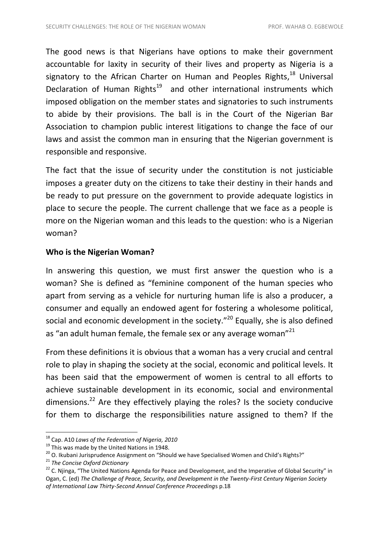The good news is that Nigerians have options to make their government accountable for laxity in security of their lives and property as Nigeria is a signatory to the African Charter on Human and Peoples Rights,<sup>18</sup> Universal Declaration of Human Rights<sup>19</sup> and other international instruments which imposed obligation on the member states and signatories to such instruments to abide by their provisions. The ball is in the Court of the Nigerian Bar Association to champion public interest litigations to change the face of our laws and assist the common man in ensuring that the Nigerian government is responsible and responsive.

The fact that the issue of security under the constitution is not justiciable imposes a greater duty on the citizens to take their destiny in their hands and be ready to put pressure on the government to provide adequate logistics in place to secure the people. The current challenge that we face as a people is more on the Nigerian woman and this leads to the question: who is a Nigerian woman?

## **Who is the Nigerian Woman?**

In answering this question, we must first answer the question who is a woman? She is defined as "feminine component of the human species who apart from serving as a vehicle for nurturing human life is also a producer, a consumer and equally an endowed agent for fostering a wholesome political, social and economic development in the society."<sup>20</sup> Equally, she is also defined as "an adult human female, the female sex or any average woman"<sup>21</sup>

From these definitions it is obvious that a woman has a very crucial and central role to play in shaping the society at the social, economic and political levels. It has been said that the empowerment of women is central to all efforts to achieve sustainable development in its economic, social and environmental dimensions.<sup>22</sup> Are they effectively playing the roles? Is the society conducive for them to discharge the responsibilities nature assigned to them? If the

 $\overline{a}$ 

<sup>18</sup> Cap. A10 *Laws of the Federation of Nigeria, 2010*

<sup>&</sup>lt;sup>19</sup> This was made by the United Nations in 1948.

 $20$  O. Ikubani Jurisprudence Assignment on "Should we have Specialised Women and Child's Rights?"

<sup>21</sup> *The Concise Oxford Dictionary*

<sup>&</sup>lt;sup>22</sup> C. Niinga, "The United Nations Agenda for Peace and Development, and the Imperative of Global Security" in Ogan, C. (ed) *The Challenge of Peace, Security, and Development in the Twenty-First Century Nigerian Society of International Law Thirty-Second Annual Conference Proceeding*s p.18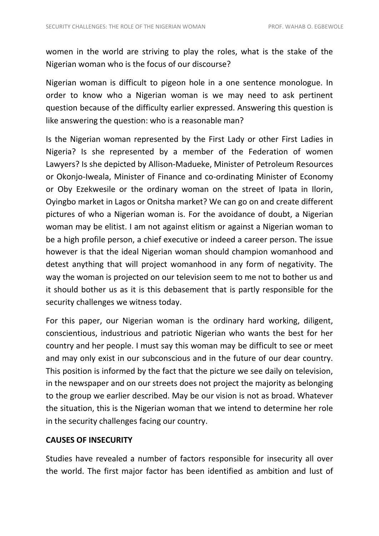women in the world are striving to play the roles, what is the stake of the Nigerian woman who is the focus of our discourse?

Nigerian woman is difficult to pigeon hole in a one sentence monologue. In order to know who a Nigerian woman is we may need to ask pertinent question because of the difficulty earlier expressed. Answering this question is like answering the question: who is a reasonable man?

Is the Nigerian woman represented by the First Lady or other First Ladies in Nigeria? Is she represented by a member of the Federation of women Lawyers? Is she depicted by Allison-Madueke, Minister of Petroleum Resources or Okonjo-Iweala, Minister of Finance and co-ordinating Minister of Economy or Oby Ezekwesile or the ordinary woman on the street of Ipata in Ilorin, Oyingbo market in Lagos or Onitsha market? We can go on and create different pictures of who a Nigerian woman is. For the avoidance of doubt, a Nigerian woman may be elitist. I am not against elitism or against a Nigerian woman to be a high profile person, a chief executive or indeed a career person. The issue however is that the ideal Nigerian woman should champion womanhood and detest anything that will project womanhood in any form of negativity. The way the woman is projected on our television seem to me not to bother us and it should bother us as it is this debasement that is partly responsible for the security challenges we witness today.

For this paper, our Nigerian woman is the ordinary hard working, diligent, conscientious, industrious and patriotic Nigerian who wants the best for her country and her people. I must say this woman may be difficult to see or meet and may only exist in our subconscious and in the future of our dear country. This position is informed by the fact that the picture we see daily on television, in the newspaper and on our streets does not project the majority as belonging to the group we earlier described. May be our vision is not as broad. Whatever the situation, this is the Nigerian woman that we intend to determine her role in the security challenges facing our country.

## **CAUSES OF INSECURITY**

Studies have revealed a number of factors responsible for insecurity all over the world. The first major factor has been identified as ambition and lust of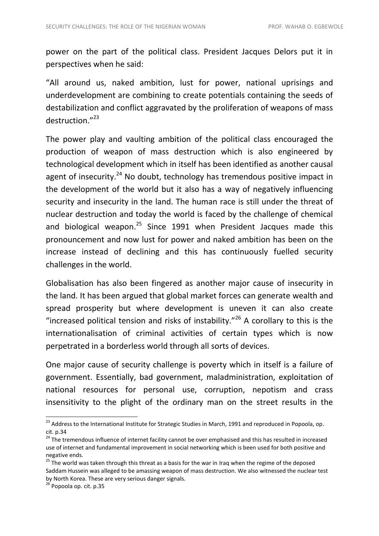power on the part of the political class. President Jacques Delors put it in perspectives when he said:

"All around us, naked ambition, lust for power, national uprisings and underdevelopment are combining to create potentials containing the seeds of destabilization and conflict aggravated by the proliferation of weapons of mass destruction.<sup>"23</sup>

The power play and vaulting ambition of the political class encouraged the production of weapon of mass destruction which is also engineered by technological development which in itself has been identified as another causal agent of insecurity.<sup>24</sup> No doubt, technology has tremendous positive impact in the development of the world but it also has a way of negatively influencing security and insecurity in the land. The human race is still under the threat of nuclear destruction and today the world is faced by the challenge of chemical and biological weapon. $^{25}$  Since 1991 when President Jacques made this pronouncement and now lust for power and naked ambition has been on the increase instead of declining and this has continuously fuelled security challenges in the world.

Globalisation has also been fingered as another major cause of insecurity in the land. It has been argued that global market forces can generate wealth and spread prosperity but where development is uneven it can also create "increased political tension and risks of instability."<sup>26</sup> A corollary to this is the internationalisation of criminal activities of certain types which is now perpetrated in a borderless world through all sorts of devices.

One major cause of security challenge is poverty which in itself is a failure of government. Essentially, bad government, maladministration, exploitation of national resources for personal use, corruption, nepotism and crass insensitivity to the plight of the ordinary man on the street results in the

1

<sup>&</sup>lt;sup>23</sup> Address to the International Institute for Strategic Studies in March, 1991 and reproduced in Popoola, op. cit. p.34

<sup>&</sup>lt;sup>24</sup> The tremendous influence of internet facility cannot be over emphasised and this has resulted in increased use of internet and fundamental improvement in social networking which is been used for both positive and negative ends.

<sup>&</sup>lt;sup>25</sup> The world was taken through this threat as a basis for the war in Iraq when the regime of the deposed Saddam Hussein was alleged to be amassing weapon of mass destruction. We also witnessed the nuclear test by North Korea. These are very serious danger signals.

 $26$  Popoola op. cit. p.35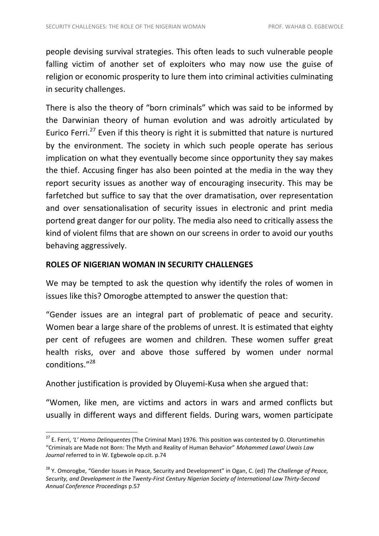people devising survival strategies. This often leads to such vulnerable people falling victim of another set of exploiters who may now use the guise of religion or economic prosperity to lure them into criminal activities culminating in security challenges.

There is also the theory of "born criminals" which was said to be informed by the Darwinian theory of human evolution and was adroitly articulated by Eurico Ferri.<sup>27</sup> Even if this theory is right it is submitted that nature is nurtured by the environment. The society in which such people operate has serious implication on what they eventually become since opportunity they say makes the thief. Accusing finger has also been pointed at the media in the way they report security issues as another way of encouraging insecurity. This may be farfetched but suffice to say that the over dramatisation, over representation and over sensationalisation of security issues in electronic and print media portend great danger for our polity. The media also need to critically assess the kind of violent films that are shown on our screens in order to avoid our youths behaving aggressively.

## **ROLES OF NIGERIAN WOMAN IN SECURITY CHALLENGES**

 $\overline{a}$ 

We may be tempted to ask the question why identify the roles of women in issues like this? Omorogbe attempted to answer the question that:

"Gender issues are an integral part of problematic of peace and security. Women bear a large share of the problems of unrest. It is estimated that eighty per cent of refugees are women and children. These women suffer great health risks, over and above those suffered by women under normal conditions." 28

Another justification is provided by Oluyemi-Kusa when she argued that:

"Women, like men, are victims and actors in wars and armed conflicts but usually in different ways and different fields. During wars, women participate

<sup>27</sup> E. Ferri, *'L' Homo Delinquentes* (The Criminal Man) 1976. This position was contested by O. Oloruntimehin "Criminals are Made not Born: The Myth and Reality of Human Behavior" *Mohammed Lawal Uwais Law Journal* referred to in W. Egbewole op.cit. p.74

<sup>28</sup> Y. Omorogbe, "Gender Issues in Peace, Security and Development" in Ogan, C. (ed) *The Challenge of Peace, Security, and Development in the Twenty-First Century Nigerian Society of International Law Thirty-Second Annual Conference Proceedings* p.57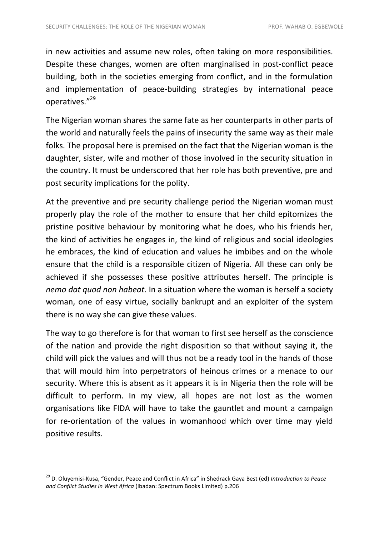in new activities and assume new roles, often taking on more responsibilities. Despite these changes, women are often marginalised in post-conflict peace building, both in the societies emerging from conflict, and in the formulation and implementation of peace-building strategies by international peace operatives."<sup>29</sup>

The Nigerian woman shares the same fate as her counterparts in other parts of the world and naturally feels the pains of insecurity the same way as their male folks. The proposal here is premised on the fact that the Nigerian woman is the daughter, sister, wife and mother of those involved in the security situation in the country. It must be underscored that her role has both preventive, pre and post security implications for the polity.

At the preventive and pre security challenge period the Nigerian woman must properly play the role of the mother to ensure that her child epitomizes the pristine positive behaviour by monitoring what he does, who his friends her, the kind of activities he engages in, the kind of religious and social ideologies he embraces, the kind of education and values he imbibes and on the whole ensure that the child is a responsible citizen of Nigeria. All these can only be achieved if she possesses these positive attributes herself. The principle is *nemo dat quod non habeat*. In a situation where the woman is herself a society woman, one of easy virtue, socially bankrupt and an exploiter of the system there is no way she can give these values.

The way to go therefore is for that woman to first see herself as the conscience of the nation and provide the right disposition so that without saying it, the child will pick the values and will thus not be a ready tool in the hands of those that will mould him into perpetrators of heinous crimes or a menace to our security. Where this is absent as it appears it is in Nigeria then the role will be difficult to perform. In my view, all hopes are not lost as the women organisations like FIDA will have to take the gauntlet and mount a campaign for re-orientation of the values in womanhood which over time may yield positive results.

<sup>29</sup> D. Oluyemisi-Kusa, "Gender, Peace and Conflict in Africa" in Shedrack Gaya Best (ed) *Introduction to Peace and Conflict Studies in West Africa* (Ibadan: Spectrum Books Limited) p.206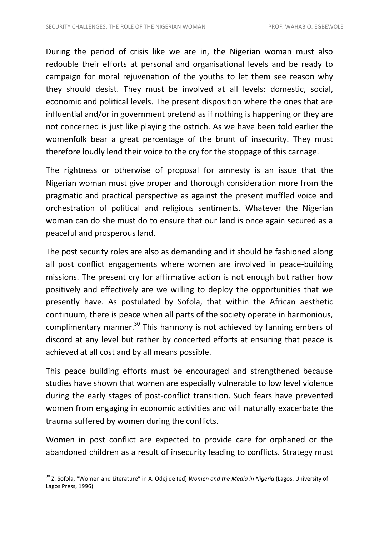During the period of crisis like we are in, the Nigerian woman must also redouble their efforts at personal and organisational levels and be ready to campaign for moral rejuvenation of the youths to let them see reason why they should desist. They must be involved at all levels: domestic, social, economic and political levels. The present disposition where the ones that are influential and/or in government pretend as if nothing is happening or they are not concerned is just like playing the ostrich. As we have been told earlier the womenfolk bear a great percentage of the brunt of insecurity. They must therefore loudly lend their voice to the cry for the stoppage of this carnage.

The rightness or otherwise of proposal for amnesty is an issue that the Nigerian woman must give proper and thorough consideration more from the pragmatic and practical perspective as against the present muffled voice and orchestration of political and religious sentiments. Whatever the Nigerian woman can do she must do to ensure that our land is once again secured as a peaceful and prosperous land.

The post security roles are also as demanding and it should be fashioned along all post conflict engagements where women are involved in peace-building missions. The present cry for affirmative action is not enough but rather how positively and effectively are we willing to deploy the opportunities that we presently have. As postulated by Sofola, that within the African aesthetic continuum, there is peace when all parts of the society operate in harmonious, complimentary manner.<sup>30</sup> This harmony is not achieved by fanning embers of discord at any level but rather by concerted efforts at ensuring that peace is achieved at all cost and by all means possible.

This peace building efforts must be encouraged and strengthened because studies have shown that women are especially vulnerable to low level violence during the early stages of post-conflict transition. Such fears have prevented women from engaging in economic activities and will naturally exacerbate the trauma suffered by women during the conflicts.

Women in post conflict are expected to provide care for orphaned or the abandoned children as a result of insecurity leading to conflicts. Strategy must

<sup>30</sup> Z. Sofola, "Women and Literature" in A. Odejide (ed) *Women and the Media in Nigeria* (Lagos: University of Lagos Press, 1996)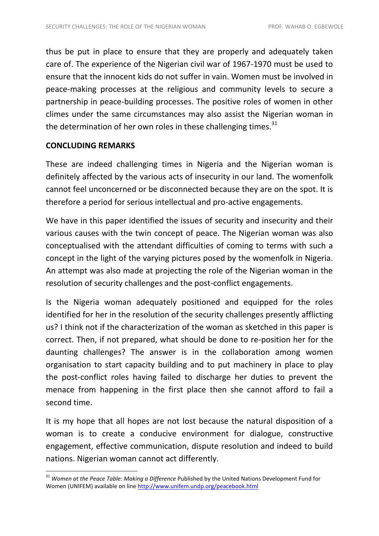thus be put in place to ensure that they are properly and adequately taken care of. The experience of the Nigerian civil war of 1967-1970 must be used to ensure that the innocent kids do not suffer in vain. Women must be involved in peace-making processes at the religious and community levels to secure a partnership in peace-building processes. The positive roles of women in other climes under the same circumstances may also assist the Nigerian woman in the determination of her own roles in these challenging times. $31$ 

## **CONCLUDING REMARKS**

**.** 

These are indeed challenging times in Nigeria and the Nigerian woman is definitely affected by the various acts of insecurity in our land. The womenfolk cannot feel unconcerned or be disconnected because they are on the spot. It is therefore a period for serious intellectual and pro-active engagements.

We have in this paper identified the issues of security and insecurity and their various causes with the twin concept of peace. The Nigerian woman was also conceptualised with the attendant difficulties of coming to terms with such a concept in the light of the varying pictures posed by the womenfolk in Nigeria. An attempt was also made at projecting the role of the Nigerian woman in the resolution of security challenges and the post-conflict engagements.

Is the Nigeria woman adequately positioned and equipped for the roles identified for her in the resolution of the security challenges presently afflicting us? I think not if the characterization of the woman as sketched in this paper is correct. Then, if not prepared, what should be done to re-position her for the daunting challenges? The answer is in the collaboration among women organisation to start capacity building and to put machinery in place to play the post-conflict roles having failed to discharge her duties to prevent the menace from happening in the first place then she cannot afford to fail a second time.

It is my hope that all hopes are not lost because the natural disposition of a woman is to create a conducive environment for dialogue, constructive engagement, effective communication, dispute resolution and indeed to build nations. Nigerian woman cannot act differently.

<sup>31</sup> *Women at the Peace Table: Making a Difference* Published by the United Nations Development Fund for Women (UNIFEM) available on lin[e http://www.unifem.undp.org/peacebook.html](http://www.unifem.undp.org/peacebook.html)